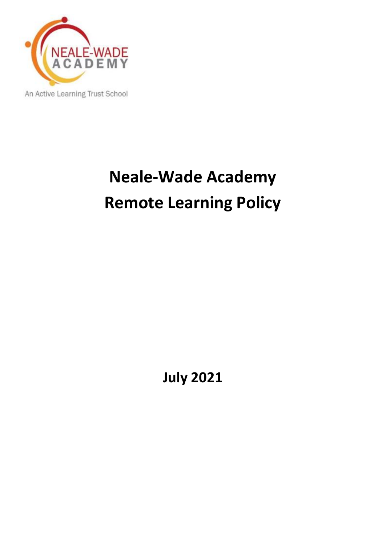

# **Neale-Wade Academy Remote Learning Policy**

**July 2021**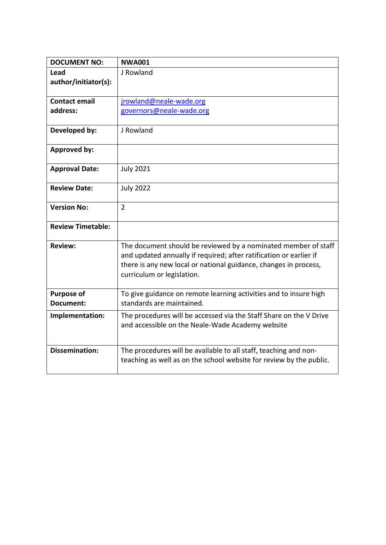| <b>DOCUMENT NO:</b>            | <b>NWA001</b>                                                                                                                                                                                                                          |
|--------------------------------|----------------------------------------------------------------------------------------------------------------------------------------------------------------------------------------------------------------------------------------|
| Lead                           | J Rowland                                                                                                                                                                                                                              |
| author/initiator(s):           |                                                                                                                                                                                                                                        |
|                                |                                                                                                                                                                                                                                        |
| <b>Contact email</b>           | jrowland@neale-wade.org                                                                                                                                                                                                                |
| address:                       | governors@neale-wade.org                                                                                                                                                                                                               |
| Developed by:                  | J Rowland                                                                                                                                                                                                                              |
| <b>Approved by:</b>            |                                                                                                                                                                                                                                        |
| <b>Approval Date:</b>          | <b>July 2021</b>                                                                                                                                                                                                                       |
| <b>Review Date:</b>            | <b>July 2022</b>                                                                                                                                                                                                                       |
| <b>Version No:</b>             | $\overline{2}$                                                                                                                                                                                                                         |
| <b>Review Timetable:</b>       |                                                                                                                                                                                                                                        |
| <b>Review:</b>                 | The document should be reviewed by a nominated member of staff<br>and updated annually if required; after ratification or earlier if<br>there is any new local or national guidance, changes in process,<br>curriculum or legislation. |
| <b>Purpose of</b><br>Document: | To give guidance on remote learning activities and to insure high<br>standards are maintained.                                                                                                                                         |
| Implementation:                | The procedures will be accessed via the Staff Share on the V Drive<br>and accessible on the Neale-Wade Academy website                                                                                                                 |
| <b>Dissemination:</b>          | The procedures will be available to all staff, teaching and non-<br>teaching as well as on the school website for review by the public.                                                                                                |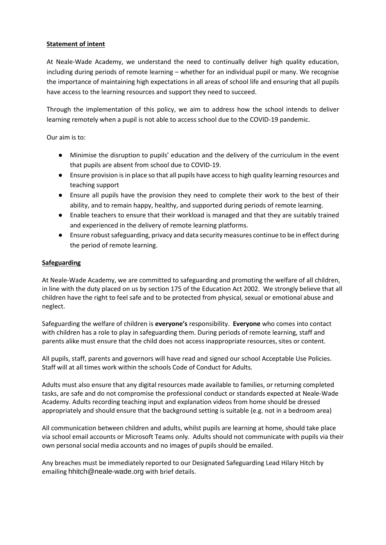# **Statement of intent**

At Neale-Wade Academy, we understand the need to continually deliver high quality education, including during periods of remote learning – whether for an individual pupil or many. We recognise the importance of maintaining high expectations in all areas of school life and ensuring that all pupils have access to the learning resources and support they need to succeed.

Through the implementation of this policy, we aim to address how the school intends to deliver learning remotely when a pupil is not able to access school due to the COVID-19 pandemic.

Our aim is to:

- Minimise the disruption to pupils' education and the delivery of the curriculum in the event that pupils are absent from school due to COVID-19.
- Ensure provision is in place so that all pupils have access to high quality learning resources and teaching support
- Ensure all pupils have the provision they need to complete their work to the best of their ability, and to remain happy, healthy, and supported during periods of remote learning.
- Enable teachers to ensure that their workload is managed and that they are suitably trained and experienced in the delivery of remote learning platforms.
- Ensure robustsafeguarding, privacy and data security measures continue to be in effect during the period of remote learning.

## **Safeguarding**

At Neale-Wade Academy, we are committed to safeguarding and promoting the welfare of all children, in line with the duty placed on us by section 175 of the Education Act 2002. We strongly believe that all children have the right to feel safe and to be protected from physical, sexual or emotional abuse and neglect.

Safeguarding the welfare of children is **everyone's** responsibility. **Everyone** who comes into contact with children has a role to play in safeguarding them. During periods of remote learning, staff and parents alike must ensure that the child does not access inappropriate resources, sites or content.

All pupils, staff, parents and governors will have read and signed our school Acceptable Use Policies. Staff will at all times work within the schools Code of Conduct for Adults.

Adults must also ensure that any digital resources made available to families, or returning completed tasks, are safe and do not compromise the professional conduct or standards expected at Neale-Wade Academy. Adults recording teaching input and explanation videos from home should be dressed appropriately and should ensure that the background setting is suitable (e.g. not in a bedroom area)

All communication between children and adults, whilst pupils are learning at home, should take place via school email accounts or Microsoft Teams only. Adults should not communicate with pupils via their own personal social media accounts and no images of pupils should be emailed.

Any breaches must be immediately reported to our Designated Safeguarding Lead Hilary Hitch by emailing hhitch@neale-wade.org with brief details.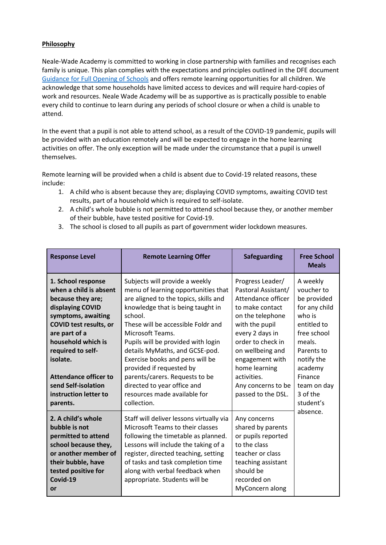# **Philosophy**

Neale-Wade Academy is committed to working in close partnership with families and recognises each family is unique. This plan complies with the expectations and principles outlined in the DFE document [Guidance for Full Opening of Schools](https://www.gov.uk/government/publications/actions-for-schools-during-the-coronavirus-outbreak/guidance-for-full-opening-schools#res) and offers remote learning opportunities for all children. We acknowledge that some households have limited access to devices and will require hard-copies of work and resources. Neale Wade Academy will be as supportive as is practically possible to enable every child to continue to learn during any periods of school closure or when a child is unable to attend.

In the event that a pupil is not able to attend school, as a result of the COVID-19 pandemic, pupils will be provided with an education remotely and will be expected to engage in the home learning activities on offer. The only exception will be made under the circumstance that a pupil is unwell themselves.

Remote learning will be provided when a child is absent due to Covid-19 related reasons, these include:

- 1. A child who is absent because they are; displaying COVID symptoms, awaiting COVID test results, part of a household which is required to self-isolate.
- 2. A child's whole bubble is not permitted to attend school because they, or another member of their bubble, have tested positive for Covid-19.
- 3. The school is closed to all pupils as part of government wider lockdown measures.

| <b>Response Level</b>                                                                                                                                                                                                                                                                                            | <b>Remote Learning Offer</b>                                                                                                                                                                                                                                                                                                                                                                                                                                                    | <b>Safeguarding</b>                                                                                                                                                                                                                                                               | <b>Free School</b><br><b>Meals</b>                                                                                                                                                                             |
|------------------------------------------------------------------------------------------------------------------------------------------------------------------------------------------------------------------------------------------------------------------------------------------------------------------|---------------------------------------------------------------------------------------------------------------------------------------------------------------------------------------------------------------------------------------------------------------------------------------------------------------------------------------------------------------------------------------------------------------------------------------------------------------------------------|-----------------------------------------------------------------------------------------------------------------------------------------------------------------------------------------------------------------------------------------------------------------------------------|----------------------------------------------------------------------------------------------------------------------------------------------------------------------------------------------------------------|
| 1. School response<br>when a child is absent<br>because they are;<br>displaying COVID<br>symptoms, awaiting<br><b>COVID test results, or</b><br>are part of a<br>household which is<br>required to self-<br>isolate.<br><b>Attendance officer to</b><br>send Self-isolation<br>instruction letter to<br>parents. | Subjects will provide a weekly<br>menu of learning opportunities that<br>are aligned to the topics, skills and<br>knowledge that is being taught in<br>school.<br>These will be accessible Foldr and<br>Microsoft Teams.<br>Pupils will be provided with login<br>details MyMaths, and GCSE-pod.<br>Exercise books and pens will be<br>provided if requested by<br>parents/carers. Requests to be<br>directed to year office and<br>resources made available for<br>collection. | Progress Leader/<br>Pastoral Assistant/<br>Attendance officer<br>to make contact<br>on the telephone<br>with the pupil<br>every 2 days in<br>order to check in<br>on wellbeing and<br>engagement with<br>home learning<br>activities.<br>Any concerns to be<br>passed to the DSL. | A weekly<br>voucher to<br>be provided<br>for any child<br>who is<br>entitled to<br>free school<br>meals.<br>Parents to<br>notify the<br>academy<br>Finance<br>team on day<br>3 of the<br>student's<br>absence. |
| 2. A child's whole<br>bubble is not<br>permitted to attend<br>school because they,<br>or another member of<br>their bubble, have<br>tested positive for<br>Covid-19<br>or                                                                                                                                        | Staff will deliver lessons virtually via<br>Microsoft Teams to their classes<br>following the timetable as planned.<br>Lessons will include the taking of a<br>register, directed teaching, setting<br>of tasks and task completion time<br>along with verbal feedback when<br>appropriate. Students will be                                                                                                                                                                    | Any concerns<br>shared by parents<br>or pupils reported<br>to the class<br>teacher or class<br>teaching assistant<br>should be<br>recorded on<br>MyConcern along                                                                                                                  |                                                                                                                                                                                                                |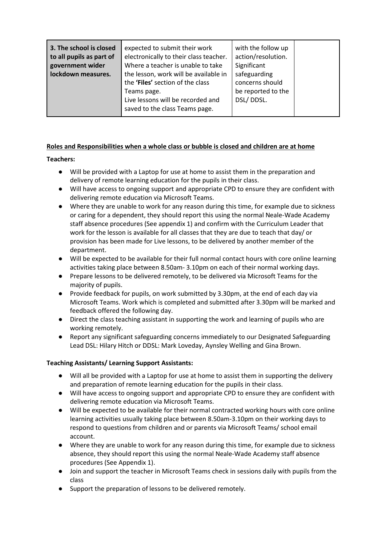| saved to the class Teams page. | 3. The school is closed<br>to all pupils as part of<br>government wider<br>lockdown measures. | expected to submit their work<br>electronically to their class teacher.<br>Where a teacher is unable to take<br>the lesson, work will be available in<br>the 'Files' section of the class<br>Teams page.<br>Live lessons will be recorded and | with the follow up<br>action/resolution.<br>Significant<br>safeguarding<br>concerns should<br>be reported to the<br>DSL/DDSL. |  |
|--------------------------------|-----------------------------------------------------------------------------------------------|-----------------------------------------------------------------------------------------------------------------------------------------------------------------------------------------------------------------------------------------------|-------------------------------------------------------------------------------------------------------------------------------|--|
|--------------------------------|-----------------------------------------------------------------------------------------------|-----------------------------------------------------------------------------------------------------------------------------------------------------------------------------------------------------------------------------------------------|-------------------------------------------------------------------------------------------------------------------------------|--|

# **Roles and Responsibilities when a whole class or bubble is closed and children are at home**

**Teachers:**

- Will be provided with a Laptop for use at home to assist them in the preparation and delivery of remote learning education for the pupils in their class.
- Will have access to ongoing support and appropriate CPD to ensure they are confident with delivering remote education via Microsoft Teams.
- Where they are unable to work for any reason during this time, for example due to sickness or caring for a dependent, they should report this using the normal Neale-Wade Academy staff absence procedures (See appendix 1) and confirm with the Curriculum Leader that work for the lesson is available for all classes that they are due to teach that day/ or provision has been made for Live lessons, to be delivered by another member of the department.
- Will be expected to be available for their full normal contact hours with core online learning activities taking place between 8.50am- 3.10pm on each of their normal working days.
- Prepare lessons to be delivered remotely, to be delivered via Microsoft Teams for the majority of pupils.
- Provide feedback for pupils, on work submitted by 3.30pm, at the end of each day via Microsoft Teams. Work which is completed and submitted after 3.30pm will be marked and feedback offered the following day.
- Direct the class teaching assistant in supporting the work and learning of pupils who are working remotely.
- Report any significant safeguarding concerns immediately to our Designated Safeguarding Lead DSL: Hilary Hitch or DDSL: Mark Loveday, Aynsley Welling and Gina Brown.

# **Teaching Assistants/ Learning Support Assistants:**

- Will all be provided with a Laptop for use at home to assist them in supporting the delivery and preparation of remote learning education for the pupils in their class.
- Will have access to ongoing support and appropriate CPD to ensure they are confident with delivering remote education via Microsoft Teams.
- Will be expected to be available for their normal contracted working hours with core online learning activities usually taking place between 8.50am-3.10pm on their working days to respond to questions from children and or parents via Microsoft Teams/ school email account.
- Where they are unable to work for any reason during this time, for example due to sickness absence, they should report this using the normal Neale-Wade Academy staff absence procedures (See Appendix 1).
- Join and support the teacher in Microsoft Teams check in sessions daily with pupils from the class
- Support the preparation of lessons to be delivered remotely.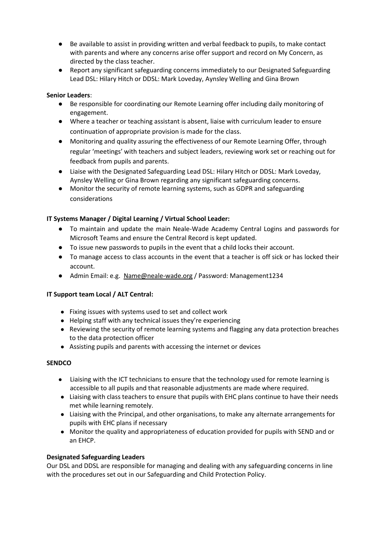- Be available to assist in providing written and verbal feedback to pupils, to make contact with parents and where any concerns arise offer support and record on My Concern, as directed by the class teacher.
- Report any significant safeguarding concerns immediately to our Designated Safeguarding Lead DSL: Hilary Hitch or DDSL: Mark Loveday, Aynsley Welling and Gina Brown

## **Senior Leaders**:

- Be responsible for coordinating our Remote Learning offer including daily monitoring of engagement.
- Where a teacher or teaching assistant is absent, liaise with curriculum leader to ensure continuation of appropriate provision is made for the class.
- Monitoring and quality assuring the effectiveness of our Remote Learning Offer, through regular 'meetings' with teachers and subject leaders, reviewing work set or reaching out for feedback from pupils and parents.
- Liaise with the Designated Safeguarding Lead DSL: Hilary Hitch or DDSL: Mark Loveday, Aynsley Welling or Gina Brown regarding any significant safeguarding concerns.
- Monitor the security of remote learning systems, such as GDPR and safeguarding considerations

# **IT Systems Manager / Digital Learning / Virtual School Leader:**

- To maintain and update the main Neale-Wade Academy Central Logins and passwords for Microsoft Teams and ensure the Central Record is kept updated.
- To issue new passwords to pupils in the event that a child locks their account.
- To manage access to class accounts in the event that a teacher is off sick or has locked their account.
- Admin Email: e.g. [Name@neale-wade.org](mailto:Name@neale-wade.org) / Password: Management1234

# **IT Support team Local / ALT Central:**

- Fixing issues with systems used to set and collect work
- Helping staff with any technical issues they're experiencing
- Reviewing the security of remote learning systems and flagging any data protection breaches to the data protection officer
- Assisting pupils and parents with accessing the internet or devices

# **SENDCO**

- Liaising with the ICT technicians to ensure that the technology used for remote learning is accessible to all pupils and that reasonable adjustments are made where required.
- Liaising with class teachers to ensure that pupils with EHC plans continue to have their needs met while learning remotely.
- Liaising with the Principal, and other organisations, to make any alternate arrangements for pupils with EHC plans if necessary
- Monitor the quality and appropriateness of education provided for pupils with SEND and or an EHCP.

# **Designated Safeguarding Leaders**

Our DSL and DDSL are responsible for managing and dealing with any safeguarding concerns in line with the procedures set out in our Safeguarding and Child Protection Policy.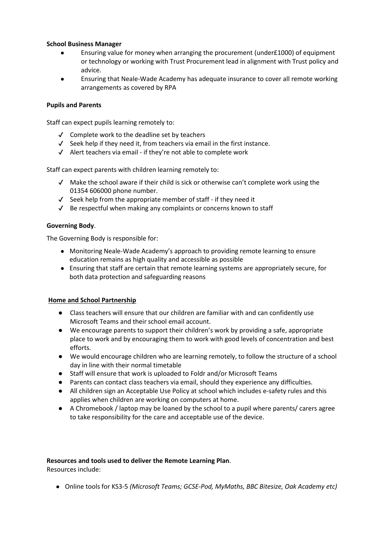## **School Business Manager**

- Ensuring value for money when arranging the procurement (under£1000) of equipment or technology or working with Trust Procurement lead in alignment with Trust policy and advice.
- Ensuring that Neale-Wade Academy has adequate insurance to cover all remote working arrangements as covered by RPA

### **Pupils and Parents**

Staff can expect pupils learning remotely to:

- ✔ Complete work to the deadline set by teachers
- $\checkmark$  Seek help if they need it, from teachers via email in the first instance.
- ✔ Alert teachers via email if they're not able to complete work

Staff can expect parents with children learning remotely to:

- $\checkmark$  Make the school aware if their child is sick or otherwise can't complete work using the 01354 606000 phone number.
- $\checkmark$  Seek help from the appropriate member of staff if they need it
- ✔ Be respectful when making any complaints or concerns known to staff

## **Governing Body**.

The Governing Body is responsible for:

- Monitoring Neale-Wade Academy's approach to providing remote learning to ensure education remains as high quality and accessible as possible
- Ensuring that staff are certain that remote learning systems are appropriately secure, for both data protection and safeguarding reasons

# **Home and School Partnership**

- Class teachers will ensure that our children are familiar with and can confidently use Microsoft Teams and their school email account.
- We encourage parents to support their children's work by providing a safe, appropriate place to work and by encouraging them to work with good levels of concentration and best efforts.
- We would encourage children who are learning remotely, to follow the structure of a school day in line with their normal timetable
- Staff will ensure that work is uploaded to Foldr and/or Microsoft Teams
- Parents can contact class teachers via email, should they experience any difficulties.
- All children sign an Acceptable Use Policy at school which includes e-safety rules and this applies when children are working on computers at home.
- A Chromebook / laptop may be loaned by the school to a pupil where parents/ carers agree to take responsibility for the care and acceptable use of the device.

# **Resources and tools used to deliver the Remote Learning Plan**.

Resources include:

● Online tools for KS3-5 *(Microsoft Teams; GCSE-Pod, MyMaths, BBC Bitesize, Oak Academy etc)*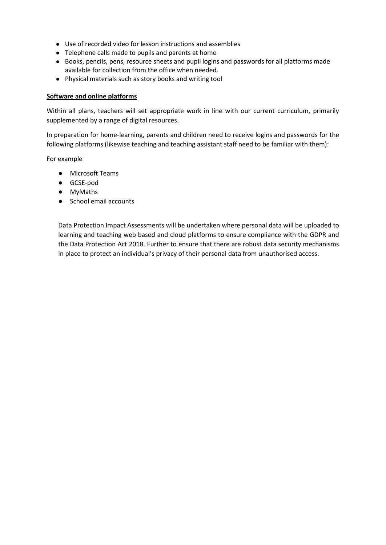- Use of recorded video for lesson instructions and assemblies
- Telephone calls made to pupils and parents at home
- Books, pencils, pens, resource sheets and pupil logins and passwords for all platforms made available for collection from the office when needed.
- Physical materials such as story books and writing tool

#### **Software and online platforms**

Within all plans, teachers will set appropriate work in line with our current curriculum, primarily supplemented by a range of digital resources.

In preparation for home-learning, parents and children need to receive logins and passwords for the following platforms (likewise teaching and teaching assistant staff need to be familiar with them):

For example

- Microsoft Teams
- GCSE-pod
- MyMaths
- School email accounts

Data Protection Impact Assessments will be undertaken where personal data will be uploaded to learning and teaching web based and cloud platforms to ensure compliance with the GDPR and the Data Protection Act 2018. Further to ensure that there are robust data security mechanisms in place to protect an individual's privacy of their personal data from unauthorised access.